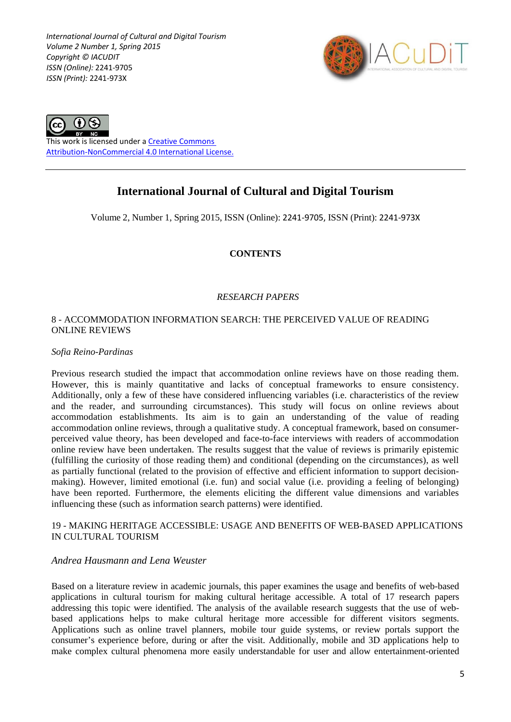*International Journal of Cultural and Digital Tourism Volume 2 Number 1, Spring 2015 Copyright © IACUDIT ISSN (Online):* 2241-9705 *ISSN (Print):* 2241-973X





This work is licensed under a [Creative Commons](http://creativecommons.org/licenses/by-nc/4.0/)  [Attribution-NonCommercial 4.0 International License.](http://creativecommons.org/licenses/by-nc/4.0/)

# **International Journal of Cultural and Digital Tourism**

Volume 2, Number 1, Spring 2015, ISSN (Online): 2241-9705, ISSN (Print): 2241-973X

# **CONTENTS**

# *RESEARCH PAPERS*

#### 8 - ACCOMMODATION INFORMATION SEARCH: THE PERCEIVED VALUE OF READING ONLINE REVIEWS

#### *Sofia Reino-Pardinas*

Previous research studied the impact that accommodation online reviews have on those reading them. However, this is mainly quantitative and lacks of conceptual frameworks to ensure consistency. Additionally, only a few of these have considered influencing variables (i.e. characteristics of the review and the reader, and surrounding circumstances). This study will focus on online reviews about accommodation establishments. Its aim is to gain an understanding of the value of reading accommodation online reviews, through a qualitative study. A conceptual framework, based on consumerperceived value theory, has been developed and face-to-face interviews with readers of accommodation online review have been undertaken. The results suggest that the value of reviews is primarily epistemic (fulfilling the curiosity of those reading them) and conditional (depending on the circumstances), as well as partially functional (related to the provision of effective and efficient information to support decisionmaking). However, limited emotional (i.e. fun) and social value (i.e. providing a feeling of belonging) have been reported. Furthermore, the elements eliciting the different value dimensions and variables influencing these (such as information search patterns) were identified.

#### 19 - MAKING HERITAGE ACCESSIBLE: USAGE AND BENEFITS OF WEB-BASED APPLICATIONS IN CULTURAL TOURISM

# *Andrea Hausmann and Lena Weuster*

Based on a literature review in academic journals, this paper examines the usage and benefits of web-based applications in cultural tourism for making cultural heritage accessible. A total of 17 research papers addressing this topic were identified. The analysis of the available research suggests that the use of webbased applications helps to make cultural heritage more accessible for different visitors segments. Applications such as online travel planners, mobile tour guide systems, or review portals support the consumer's experience before, during or after the visit. Additionally, mobile and 3D applications help to make complex cultural phenomena more easily understandable for user and allow entertainment-oriented